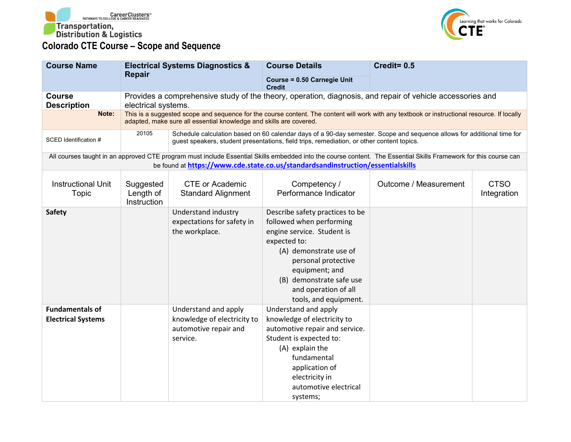



| <b>Course Name</b>                                  | <b>Electrical Systems Diagnostics &amp;</b><br><b>Repair</b>                                                                                                                                                                                        |                                                                                                                                                                                                                     | <b>Course Details</b>                                                                                                                                                                                                                                     | Credit= 0.5           |                            |  |
|-----------------------------------------------------|-----------------------------------------------------------------------------------------------------------------------------------------------------------------------------------------------------------------------------------------------------|---------------------------------------------------------------------------------------------------------------------------------------------------------------------------------------------------------------------|-----------------------------------------------------------------------------------------------------------------------------------------------------------------------------------------------------------------------------------------------------------|-----------------------|----------------------------|--|
|                                                     |                                                                                                                                                                                                                                                     |                                                                                                                                                                                                                     | Course = 0.50 Carnegie Unit<br><b>Credit</b>                                                                                                                                                                                                              |                       |                            |  |
| <b>Course</b><br><b>Description</b>                 | Provides a comprehensive study of the theory, operation, diagnosis, and repair of vehicle accessories and<br>electrical systems.                                                                                                                    |                                                                                                                                                                                                                     |                                                                                                                                                                                                                                                           |                       |                            |  |
| Note:                                               | This is a suggested scope and sequence for the course content. The content will work with any textbook or instructional resource. If locally<br>adapted, make sure all essential knowledge and skills are covered.                                  |                                                                                                                                                                                                                     |                                                                                                                                                                                                                                                           |                       |                            |  |
| SCED Identification #                               | 20105                                                                                                                                                                                                                                               | Schedule calculation based on 60 calendar days of a 90-day semester. Scope and sequence allows for additional time for<br>guest speakers, student presentations, field trips, remediation, or other content topics. |                                                                                                                                                                                                                                                           |                       |                            |  |
|                                                     | All courses taught in an approved CTE program must include Essential Skills embedded into the course content. The Essential Skills Framework for this course can<br>be found at https://www.cde.state.co.us/standardsandinstruction/essentialskills |                                                                                                                                                                                                                     |                                                                                                                                                                                                                                                           |                       |                            |  |
| <b>Instructional Unit</b><br><b>Topic</b>           | Suggested<br>Length of<br>Instruction                                                                                                                                                                                                               | <b>CTE or Academic</b><br><b>Standard Alignment</b>                                                                                                                                                                 | Competency /<br>Performance Indicator                                                                                                                                                                                                                     | Outcome / Measurement | <b>CTSO</b><br>Integration |  |
| <b>Safety</b>                                       |                                                                                                                                                                                                                                                     | Understand industry<br>expectations for safety in<br>the workplace.                                                                                                                                                 | Describe safety practices to be<br>followed when performing<br>engine service. Student is<br>expected to:<br>(A) demonstrate use of<br>personal protective<br>equipment; and<br>(B) demonstrate safe use<br>and operation of all<br>tools, and equipment. |                       |                            |  |
| <b>Fundamentals of</b><br><b>Electrical Systems</b> |                                                                                                                                                                                                                                                     | Understand and apply<br>knowledge of electricity to<br>automotive repair and<br>service.                                                                                                                            | Understand and apply<br>knowledge of electricity to<br>automotive repair and service.<br>Student is expected to:<br>(A) explain the<br>fundamental<br>application of<br>electricity in<br>automotive electrical<br>systems;                               |                       |                            |  |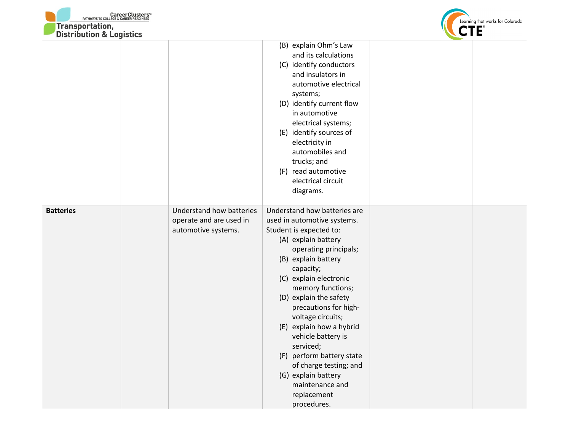



|                  |                                                                            | (B) explain Ohm's Law<br>and its calculations<br>(C) identify conductors<br>and insulators in<br>automotive electrical<br>systems;<br>(D) identify current flow<br>in automotive<br>electrical systems;<br>(E) identify sources of<br>electricity in<br>automobiles and<br>trucks; and<br>(F) read automotive<br>electrical circuit<br>diagrams.                                                                                                                                                |  |
|------------------|----------------------------------------------------------------------------|-------------------------------------------------------------------------------------------------------------------------------------------------------------------------------------------------------------------------------------------------------------------------------------------------------------------------------------------------------------------------------------------------------------------------------------------------------------------------------------------------|--|
| <b>Batteries</b> | Understand how batteries<br>operate and are used in<br>automotive systems. | Understand how batteries are<br>used in automotive systems.<br>Student is expected to:<br>(A) explain battery<br>operating principals;<br>(B) explain battery<br>capacity;<br>(C) explain electronic<br>memory functions;<br>(D) explain the safety<br>precautions for high-<br>voltage circuits;<br>(E) explain how a hybrid<br>vehicle battery is<br>serviced;<br>(F) perform battery state<br>of charge testing; and<br>(G) explain battery<br>maintenance and<br>replacement<br>procedures. |  |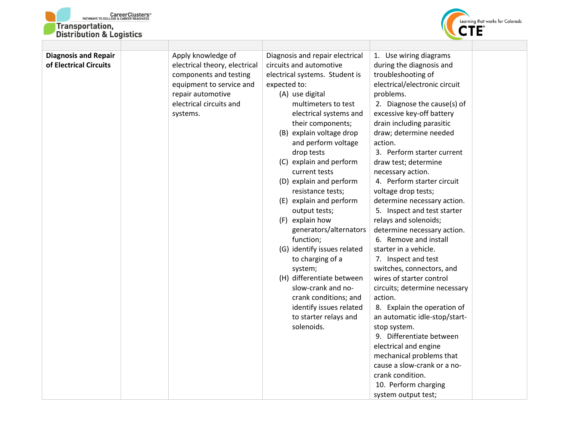



| <b>Diagnosis and Repair</b><br>of Electrical Circuits | Apply knowledge of<br>electrical theory, electrical<br>components and testing<br>equipment to service and<br>repair automotive<br>electrical circuits and<br>systems. | Diagnosis and repair electrical<br>circuits and automotive<br>electrical systems. Student is<br>expected to:<br>(A) use digital<br>multimeters to test<br>electrical systems and<br>their components;<br>(B) explain voltage drop<br>and perform voltage<br>drop tests<br>(C) explain and perform<br>current tests<br>(D) explain and perform<br>resistance tests;<br>(E) explain and perform<br>output tests;<br>(F) explain how<br>generators/alternators<br>function;<br>(G) identify issues related<br>to charging of a<br>system;<br>(H) differentiate between<br>slow-crank and no-<br>crank conditions; and<br>identify issues related<br>to starter relays and<br>solenoids. | 1. Use wiring diagrams<br>during the diagnosis and<br>troubleshooting of<br>electrical/electronic circuit<br>problems.<br>2. Diagnose the cause(s) of<br>excessive key-off battery<br>drain including parasitic<br>draw; determine needed<br>action.<br>3. Perform starter current<br>draw test; determine<br>necessary action.<br>4. Perform starter circuit<br>voltage drop tests;<br>determine necessary action.<br>5. Inspect and test starter<br>relays and solenoids;<br>determine necessary action.<br>6. Remove and install<br>starter in a vehicle.<br>7. Inspect and test<br>switches, connectors, and<br>wires of starter control<br>circuits; determine necessary<br>action.<br>8. Explain the operation of<br>an automatic idle-stop/start-<br>stop system.<br>9. Differentiate between<br>electrical and engine<br>mechanical problems that<br>cause a slow-crank or a no- |  |
|-------------------------------------------------------|-----------------------------------------------------------------------------------------------------------------------------------------------------------------------|--------------------------------------------------------------------------------------------------------------------------------------------------------------------------------------------------------------------------------------------------------------------------------------------------------------------------------------------------------------------------------------------------------------------------------------------------------------------------------------------------------------------------------------------------------------------------------------------------------------------------------------------------------------------------------------|------------------------------------------------------------------------------------------------------------------------------------------------------------------------------------------------------------------------------------------------------------------------------------------------------------------------------------------------------------------------------------------------------------------------------------------------------------------------------------------------------------------------------------------------------------------------------------------------------------------------------------------------------------------------------------------------------------------------------------------------------------------------------------------------------------------------------------------------------------------------------------------|--|
|                                                       |                                                                                                                                                                       |                                                                                                                                                                                                                                                                                                                                                                                                                                                                                                                                                                                                                                                                                      |                                                                                                                                                                                                                                                                                                                                                                                                                                                                                                                                                                                                                                                                                                                                                                                                                                                                                          |  |
|                                                       |                                                                                                                                                                       |                                                                                                                                                                                                                                                                                                                                                                                                                                                                                                                                                                                                                                                                                      | crank condition.                                                                                                                                                                                                                                                                                                                                                                                                                                                                                                                                                                                                                                                                                                                                                                                                                                                                         |  |
|                                                       |                                                                                                                                                                       |                                                                                                                                                                                                                                                                                                                                                                                                                                                                                                                                                                                                                                                                                      | 10. Perform charging                                                                                                                                                                                                                                                                                                                                                                                                                                                                                                                                                                                                                                                                                                                                                                                                                                                                     |  |
|                                                       |                                                                                                                                                                       |                                                                                                                                                                                                                                                                                                                                                                                                                                                                                                                                                                                                                                                                                      | system output test;                                                                                                                                                                                                                                                                                                                                                                                                                                                                                                                                                                                                                                                                                                                                                                                                                                                                      |  |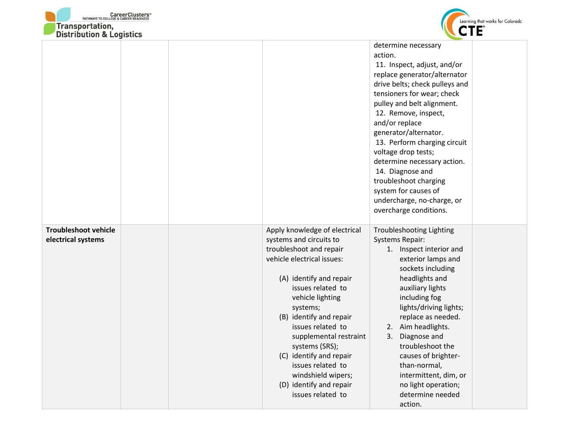



| <b>DISTRIBUTION &amp; LOGISTICS</b>               |                                                                                                                                                                                                                                                                                                                                                                                                                                                                                                                                                                                                                                                                                                                                                                                                                                                     |
|---------------------------------------------------|-----------------------------------------------------------------------------------------------------------------------------------------------------------------------------------------------------------------------------------------------------------------------------------------------------------------------------------------------------------------------------------------------------------------------------------------------------------------------------------------------------------------------------------------------------------------------------------------------------------------------------------------------------------------------------------------------------------------------------------------------------------------------------------------------------------------------------------------------------|
|                                                   | determine necessary<br>action.<br>11. Inspect, adjust, and/or<br>replace generator/alternator<br>drive belts; check pulleys and<br>tensioners for wear; check<br>pulley and belt alignment.<br>12. Remove, inspect,<br>and/or replace<br>generator/alternator.<br>13. Perform charging circuit<br>voltage drop tests;<br>determine necessary action.<br>14. Diagnose and<br>troubleshoot charging<br>system for causes of<br>undercharge, no-charge, or<br>overcharge conditions.                                                                                                                                                                                                                                                                                                                                                                   |
| <b>Troubleshoot vehicle</b><br>electrical systems | Apply knowledge of electrical<br><b>Troubleshooting Lighting</b><br>systems and circuits to<br><b>Systems Repair:</b><br>troubleshoot and repair<br>1. Inspect interior and<br>vehicle electrical issues:<br>exterior lamps and<br>sockets including<br>(A) identify and repair<br>headlights and<br>issues related to<br>auxiliary lights<br>vehicle lighting<br>including fog<br>lights/driving lights;<br>systems;<br>(B) identify and repair<br>replace as needed.<br>issues related to<br>2. Aim headlights.<br>Diagnose and<br>supplemental restraint<br>3.<br>troubleshoot the<br>systems (SRS);<br>(C) identify and repair<br>causes of brighter-<br>issues related to<br>than-normal,<br>windshield wipers;<br>intermittent, dim, or<br>(D) identify and repair<br>no light operation;<br>determine needed<br>issues related to<br>action. |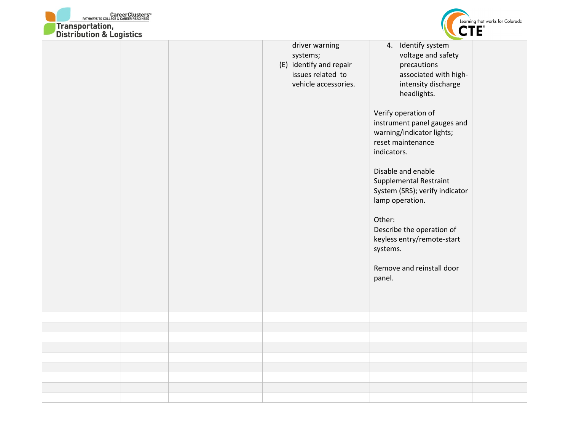



| <b>DISTRIBUTION &amp; LUGISTICS</b> |                                                                                                    | ÷                                                                                                                                                                                                                                                                                                                                                                                                                                                                          |
|-------------------------------------|----------------------------------------------------------------------------------------------------|----------------------------------------------------------------------------------------------------------------------------------------------------------------------------------------------------------------------------------------------------------------------------------------------------------------------------------------------------------------------------------------------------------------------------------------------------------------------------|
|                                     | driver warning<br>systems;<br>(E) identify and repair<br>issues related to<br>vehicle accessories. | 4. Identify system<br>voltage and safety<br>precautions<br>associated with high-<br>intensity discharge<br>headlights.<br>Verify operation of<br>instrument panel gauges and<br>warning/indicator lights;<br>reset maintenance<br>indicators.<br>Disable and enable<br>Supplemental Restraint<br>System (SRS); verify indicator<br>lamp operation.<br>Other:<br>Describe the operation of<br>keyless entry/remote-start<br>systems.<br>Remove and reinstall door<br>panel. |
|                                     |                                                                                                    |                                                                                                                                                                                                                                                                                                                                                                                                                                                                            |
|                                     |                                                                                                    |                                                                                                                                                                                                                                                                                                                                                                                                                                                                            |
|                                     |                                                                                                    |                                                                                                                                                                                                                                                                                                                                                                                                                                                                            |
|                                     |                                                                                                    |                                                                                                                                                                                                                                                                                                                                                                                                                                                                            |
|                                     |                                                                                                    |                                                                                                                                                                                                                                                                                                                                                                                                                                                                            |
|                                     |                                                                                                    |                                                                                                                                                                                                                                                                                                                                                                                                                                                                            |
|                                     |                                                                                                    |                                                                                                                                                                                                                                                                                                                                                                                                                                                                            |
|                                     |                                                                                                    |                                                                                                                                                                                                                                                                                                                                                                                                                                                                            |
|                                     |                                                                                                    |                                                                                                                                                                                                                                                                                                                                                                                                                                                                            |